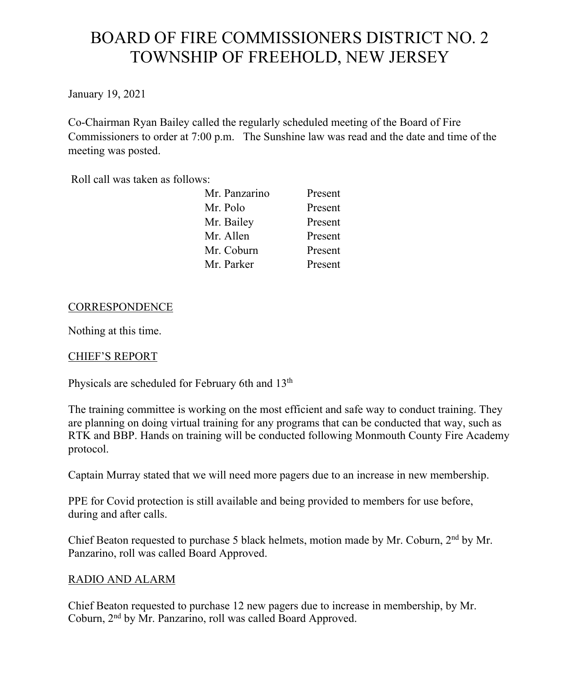# BOARD OF FIRE COMMISSIONERS DISTRICT NO. 2 TOWNSHIP OF FREEHOLD, NEW JERSEY

January 19, 2021

Co-Chairman Ryan Bailey called the regularly scheduled meeting of the Board of Fire Commissioners to order at 7:00 p.m. The Sunshine law was read and the date and time of the meeting was posted.

Roll call was taken as follows:

| Mr. Panzarino | Present |
|---------------|---------|
| Mr. Polo      | Present |
| Mr. Bailey    | Present |
| Mr. Allen     | Present |
| Mr. Coburn    | Present |
| Mr. Parker    | Present |

## **CORRESPONDENCE**

Nothing at this time.

## CHIEF'S REPORT

Physicals are scheduled for February 6th and 13<sup>th</sup>

The training committee is working on the most efficient and safe way to conduct training. They are planning on doing virtual training for any programs that can be conducted that way, such as RTK and BBP. Hands on training will be conducted following Monmouth County Fire Academy protocol.

Captain Murray stated that we will need more pagers due to an increase in new membership.

PPE for Covid protection is still available and being provided to members for use before, during and after calls.

Chief Beaton requested to purchase 5 black helmets, motion made by Mr. Coburn,  $2<sup>nd</sup>$  by Mr. Panzarino, roll was called Board Approved.

## RADIO AND ALARM

Chief Beaton requested to purchase 12 new pagers due to increase in membership, by Mr. Coburn, 2nd by Mr. Panzarino, roll was called Board Approved.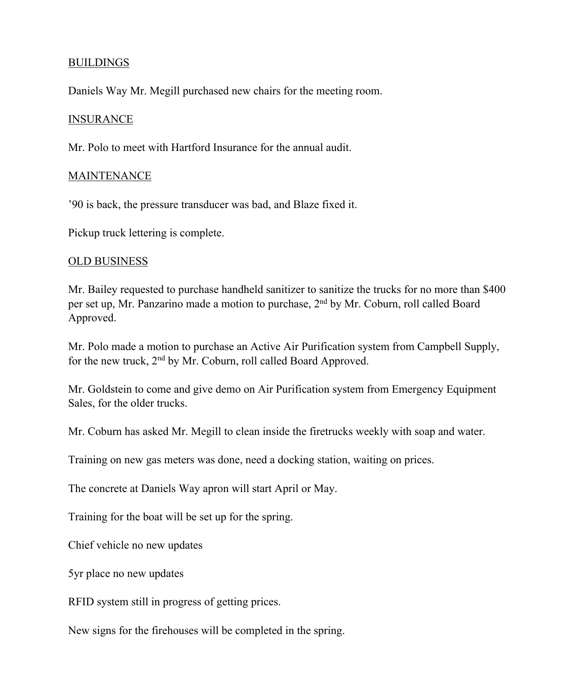#### BUILDINGS

Daniels Way Mr. Megill purchased new chairs for the meeting room.

#### **INSURANCE**

Mr. Polo to meet with Hartford Insurance for the annual audit.

#### MAINTENANCE

'90 is back, the pressure transducer was bad, and Blaze fixed it.

Pickup truck lettering is complete.

#### OLD BUSINESS

Mr. Bailey requested to purchase handheld sanitizer to sanitize the trucks for no more than \$400 per set up, Mr. Panzarino made a motion to purchase, 2nd by Mr. Coburn, roll called Board Approved.

Mr. Polo made a motion to purchase an Active Air Purification system from Campbell Supply, for the new truck, 2nd by Mr. Coburn, roll called Board Approved.

Mr. Goldstein to come and give demo on Air Purification system from Emergency Equipment Sales, for the older trucks.

Mr. Coburn has asked Mr. Megill to clean inside the firetrucks weekly with soap and water.

Training on new gas meters was done, need a docking station, waiting on prices.

The concrete at Daniels Way apron will start April or May.

Training for the boat will be set up for the spring.

Chief vehicle no new updates

5yr place no new updates

RFID system still in progress of getting prices.

New signs for the firehouses will be completed in the spring.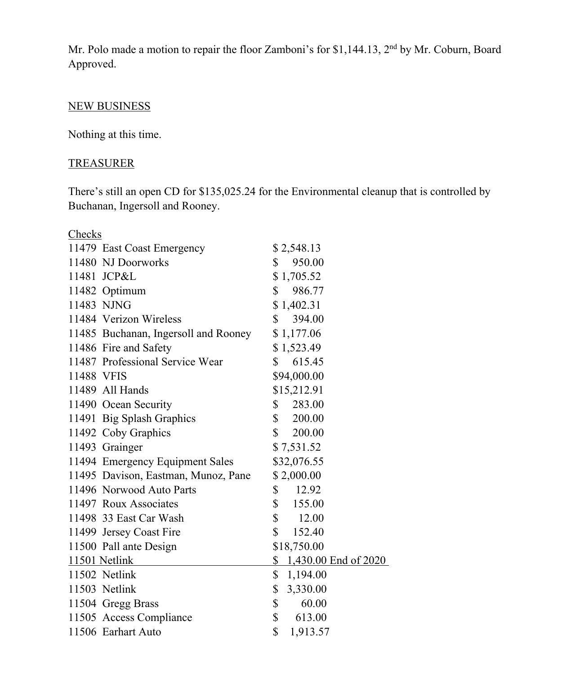Mr. Polo made a motion to repair the floor Zamboni's for \$1,144.13, 2<sup>nd</sup> by Mr. Coburn, Board Approved.

## NEW BUSINESS

Nothing at this time.

## **TREASURER**

There's still an open CD for \$135,025.24 for the Environmental cleanup that is controlled by Buchanan, Ingersoll and Rooney.

| Checks                               |                         |  |
|--------------------------------------|-------------------------|--|
| 11479 East Coast Emergency           | \$2,548.13              |  |
| 11480 NJ Doorworks                   | 950.00<br>$\mathbb{S}$  |  |
| 11481 JCP&L                          | \$1,705.52              |  |
| 11482 Optimum                        | $\mathbb{S}$<br>986.77  |  |
| 11483 NJNG                           | \$1,402.31              |  |
| 11484 Verizon Wireless               | $\mathbb{S}$<br>394.00  |  |
| 11485 Buchanan, Ingersoll and Rooney | \$1,177.06              |  |
| 11486 Fire and Safety                | \$1,523.49              |  |
| 11487 Professional Service Wear      | 615.45<br>\$            |  |
| 11488 VFIS                           | \$94,000.00             |  |
| 11489 All Hands                      | \$15,212.91             |  |
| 11490 Ocean Security                 | \$<br>283.00            |  |
| 11491 Big Splash Graphics            | \$ 200.00               |  |
| 11492 Coby Graphics                  | $\mathbb{S}$<br>200.00  |  |
| 11493 Grainger                       | \$7,531.52              |  |
| 11494 Emergency Equipment Sales      | \$32,076.55             |  |
| 11495 Davison, Eastman, Munoz, Pane  | \$2,000.00              |  |
| 11496 Norwood Auto Parts             | $\mathbb{S}$<br>12.92   |  |
| 11497 Roux Associates                | $\mathbb{S}$<br>155.00  |  |
| 11498 33 East Car Wash               | \$<br>12.00             |  |
| 11499 Jersey Coast Fire              | $\mathbb{S}$<br>152.40  |  |
| 11500 Pall ante Design               | \$18,750.00             |  |
| 11501 Netlink                        | $$1,430.00$ End of 2020 |  |
| 11502 Netlink                        | \$<br>1,194.00          |  |
| 11503 Netlink                        | \$<br>3,330.00          |  |
| 11504 Gregg Brass                    | \$<br>60.00             |  |
| 11505 Access Compliance              | \$<br>613.00            |  |
| 11506 Earhart Auto                   | \$<br>1,913.57          |  |